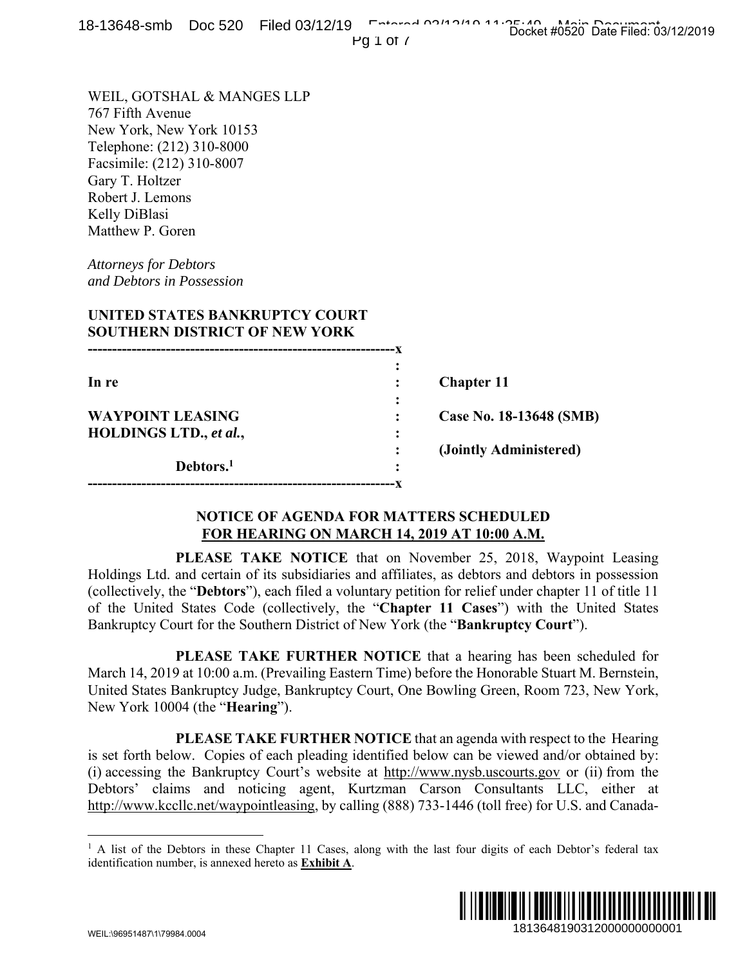| 0-10040-31110 DOC JZO T IICU OS/12/13                                                                                                                                                                                                                                                                                                                                                                                                                                                                                                                                                                | Docket #0520 Date Filed: 03/12/2019<br>Pg $1$ of $\prime$                                                                                 |
|------------------------------------------------------------------------------------------------------------------------------------------------------------------------------------------------------------------------------------------------------------------------------------------------------------------------------------------------------------------------------------------------------------------------------------------------------------------------------------------------------------------------------------------------------------------------------------------------------|-------------------------------------------------------------------------------------------------------------------------------------------|
| WEIL, GOTSHAL & MANGES LLP<br>767 Fifth Avenue<br>New York, New York 10153<br>Telephone: (212) 310-8000<br>Facsimile: (212) 310-8007<br>Gary T. Holtzer<br>Robert J. Lemons<br>Kelly DiBlasi<br>Matthew P. Goren<br><b>Attorneys for Debtors</b><br>and Debtors in Possession<br>UNITED STATES BANKRUPTCY COURT<br><b>SOUTHERN DISTRICT OF NEW YORK</b>                                                                                                                                                                                                                                              |                                                                                                                                           |
|                                                                                                                                                                                                                                                                                                                                                                                                                                                                                                                                                                                                      |                                                                                                                                           |
| In re                                                                                                                                                                                                                                                                                                                                                                                                                                                                                                                                                                                                | <b>Chapter 11</b>                                                                                                                         |
| <b>WAYPOINT LEASING</b><br><b>HOLDINGS LTD., et al.,</b>                                                                                                                                                                                                                                                                                                                                                                                                                                                                                                                                             | Case No. 18-13648 (SMB)                                                                                                                   |
| Debtors. <sup>1</sup>                                                                                                                                                                                                                                                                                                                                                                                                                                                                                                                                                                                | (Jointly Administered)                                                                                                                    |
| <b>NOTICE OF AGENDA FOR MATTERS SCHEDULED</b><br>FOR HEARING ON MARCH 14, 2019 AT 10:00 A.M.                                                                                                                                                                                                                                                                                                                                                                                                                                                                                                         |                                                                                                                                           |
| Holdings Ltd. and certain of its subsidiaries and affiliates, as debtors and debtors in possession<br>(collectively, the "Debtors"), each filed a voluntary petition for relief under chapter 11 of title 11<br>of the United States Code (collectively, the "Chapter 11 Cases") with the United States<br>Bankruptcy Court for the Southern District of New York (the " <b>Bankruptcy Court</b> ").<br>March 14, 2019 at 10:00 a.m. (Prevailing Eastern Time) before the Honorable Stuart M. Bernstein,<br>United States Bankruptcy Judge, Bankruptcy Court, One Bowling Green, Room 723, New York, | PLEASE TAKE NOTICE that on November 25, 2018, Waypoint Leasing<br><b>PLEASE TAKE FURTHER NOTICE</b> that a hearing has been scheduled for |
| New York 10004 (the " <b>Hearing</b> ").<br>is set forth below. Copies of each pleading identified below can be viewed and/or obtained by:<br>(i) accessing the Bankruptcy Court's website at http://www.nysb.uscourts.gov or (ii) from the<br>Debtors' claims and noticing agent, Kurtzman Carson Consultants LLC, either at<br>http://www.kccllc.net/waypointleasing, by calling (888) 733-1446 (toll free) for U.S. and Canada-                                                                                                                                                                   | <b>PLEASE TAKE FURTHER NOTICE</b> that an agenda with respect to the Hearing                                                              |
| <sup>1</sup> A list of the Debtors in these Chapter 11 Cases, along with the last four digits of each Debtor's federal tax<br>identification number, is annexed hereto as <b>Exhibit A</b> .                                                                                                                                                                                                                                                                                                                                                                                                         |                                                                                                                                           |
| \N/EII \\QGQ51.187\1\7QQ8.1 NNN                                                                                                                                                                                                                                                                                                                                                                                                                                                                                                                                                                      | 1813648190312000000000001                                                                                                                 |

# **NOTICE OF AGENDA FOR MATTERS SCHEDULED FOR HEARING ON MARCH 14, 2019 AT 10:00 A.M.**

<sup>&</sup>lt;sup>1</sup> A list of the Debtors in these Chapter 11 Cases, along with the last four digits of each Debtor's federal tax identification number, is annexed hereto as **Exhibit A**.

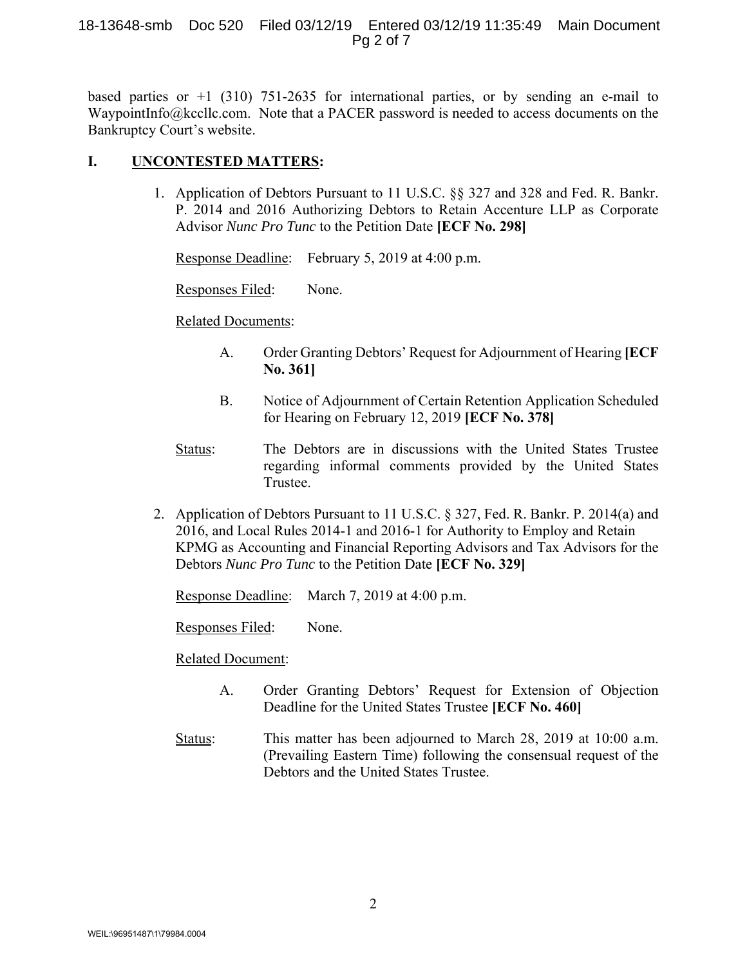#### 18-13648-smb Doc 520 Filed 03/12/19 Entered 03/12/19 11:35:49 Main Document Pg 2 of 7

based parties or  $+1$  (310) 751-2635 for international parties, or by sending an e-mail to WaypointInfo@kccllc.com. Note that a PACER password is needed to access documents on the Bankruptcy Court's website.

## **I. UNCONTESTED MATTERS:**

1. Application of Debtors Pursuant to 11 U.S.C. §§ 327 and 328 and Fed. R. Bankr. P. 2014 and 2016 Authorizing Debtors to Retain Accenture LLP as Corporate Advisor *Nunc Pro Tunc* to the Petition Date **[ECF No. 298]**

Response Deadline: February 5, 2019 at 4:00 p.m.

Responses Filed: None.

### Related Documents:

- A. Order Granting Debtors' Request for Adjournment of Hearing **[ECF No. 361]**
- B. Notice of Adjournment of Certain Retention Application Scheduled for Hearing on February 12, 2019 **[ECF No. 378]**
- Status: The Debtors are in discussions with the United States Trustee regarding informal comments provided by the United States Trustee.
- 2. Application of Debtors Pursuant to 11 U.S.C. § 327, Fed. R. Bankr. P. 2014(a) and 2016, and Local Rules 2014-1 and 2016-1 for Authority to Employ and Retain KPMG as Accounting and Financial Reporting Advisors and Tax Advisors for the Debtors *Nunc Pro Tunc* to the Petition Date **[ECF No. 329]**

Response Deadline: March 7, 2019 at 4:00 p.m.

Responses Filed: None.

### Related Document:

- A. Order Granting Debtors' Request for Extension of Objection Deadline for the United States Trustee **[ECF No. 460]**
- Status: This matter has been adjourned to March 28, 2019 at 10:00 a.m. (Prevailing Eastern Time) following the consensual request of the Debtors and the United States Trustee.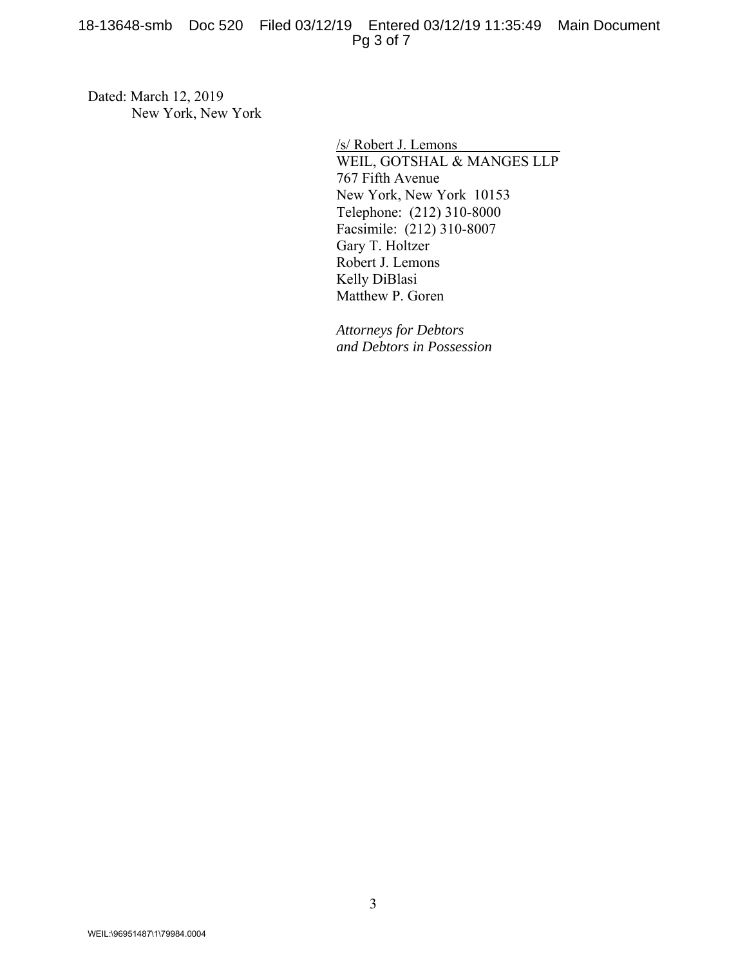18-13648-smb Doc 520 Filed 03/12/19 Entered 03/12/19 11:35:49 Main Document Pg 3 of 7

Dated: March 12, 2019 New York, New York

> /s/ Robert J. Lemons WEIL, GOTSHAL & MANGES LLP 767 Fifth Avenue New York, New York 10153 Telephone: (212) 310-8000 Facsimile: (212) 310-8007 Gary T. Holtzer Robert J. Lemons Kelly DiBlasi Matthew P. Goren

*Attorneys for Debtors and Debtors in Possession*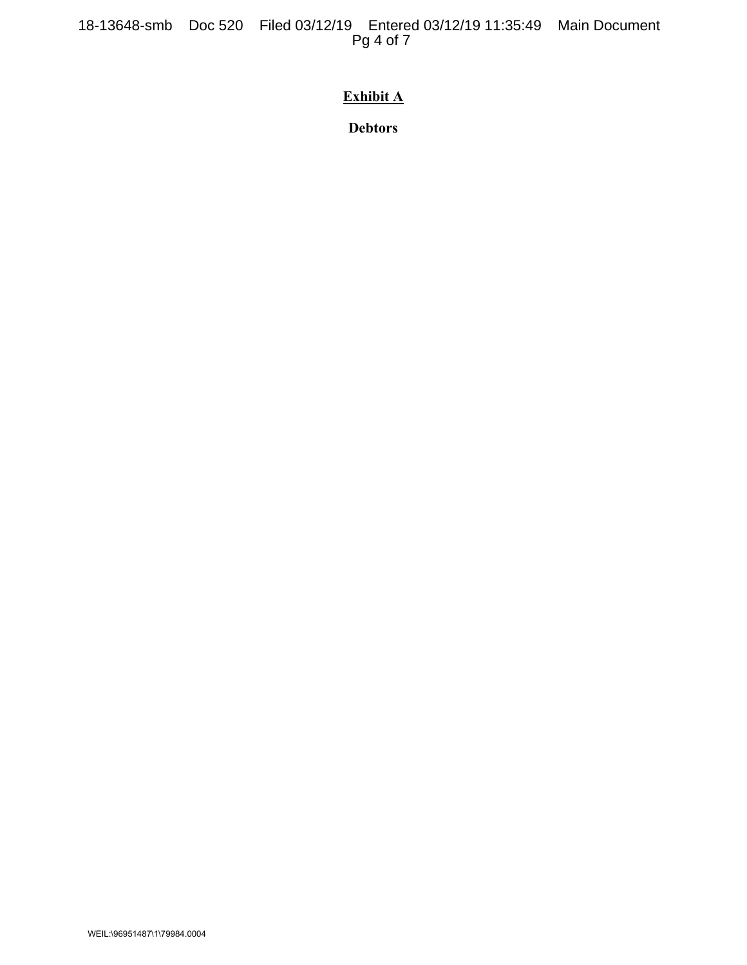# **Exhibit A**

**Debtors**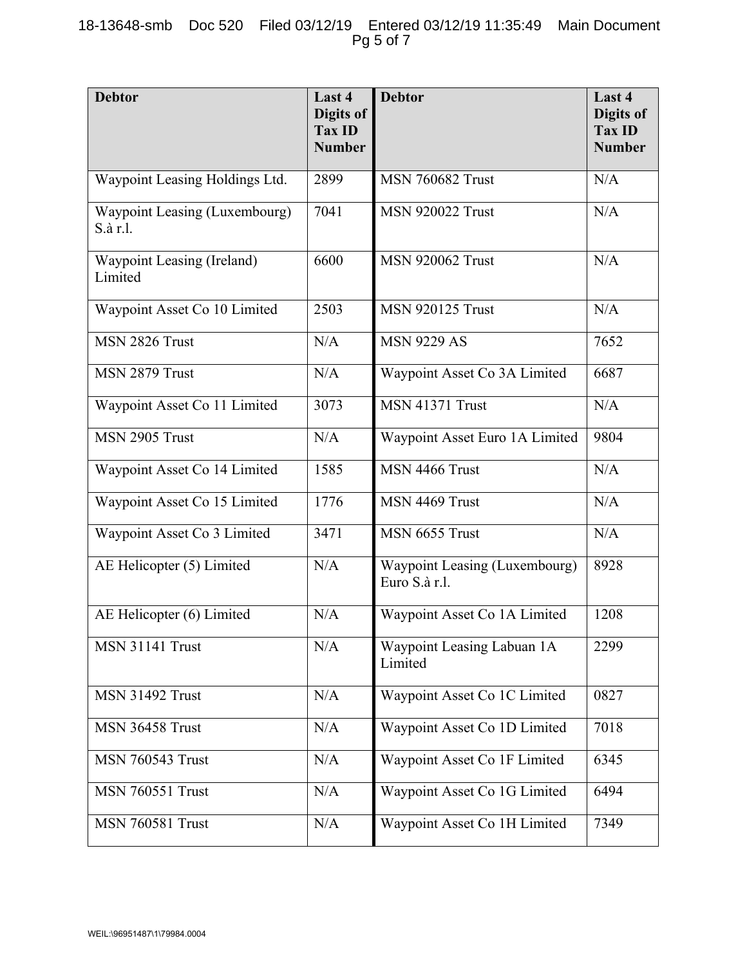| <b>Debtor</b>                             | Last 4<br>Digits of<br><b>Tax ID</b><br><b>Number</b> | <b>Debtor</b>                                  | Last 4<br>Digits of<br><b>Tax ID</b><br><b>Number</b> |
|-------------------------------------------|-------------------------------------------------------|------------------------------------------------|-------------------------------------------------------|
| Waypoint Leasing Holdings Ltd.            | 2899                                                  | <b>MSN 760682 Trust</b>                        | N/A                                                   |
| Waypoint Leasing (Luxembourg)<br>S.à r.l. | 7041                                                  | <b>MSN 920022 Trust</b>                        | N/A                                                   |
| Waypoint Leasing (Ireland)<br>Limited     | 6600                                                  | <b>MSN 920062 Trust</b>                        | N/A                                                   |
| Waypoint Asset Co 10 Limited              | 2503                                                  | <b>MSN 920125 Trust</b>                        | N/A                                                   |
| MSN 2826 Trust                            | N/A                                                   | <b>MSN 9229 AS</b>                             | 7652                                                  |
| MSN 2879 Trust                            | N/A                                                   | Waypoint Asset Co 3A Limited                   | 6687                                                  |
| Waypoint Asset Co 11 Limited              | 3073                                                  | <b>MSN 41371 Trust</b>                         | N/A                                                   |
| MSN 2905 Trust                            | N/A                                                   | Waypoint Asset Euro 1A Limited                 | 9804                                                  |
| Waypoint Asset Co 14 Limited              | 1585                                                  | MSN 4466 Trust                                 | N/A                                                   |
| Waypoint Asset Co 15 Limited              | 1776                                                  | MSN 4469 Trust                                 | N/A                                                   |
| Waypoint Asset Co 3 Limited               | 3471                                                  | MSN 6655 Trust                                 | N/A                                                   |
| AE Helicopter (5) Limited                 | N/A                                                   | Waypoint Leasing (Luxembourg)<br>Euro S.à r.l. | 8928                                                  |
| AE Helicopter (6) Limited                 | N/A                                                   | Waypoint Asset Co 1A Limited                   | 1208                                                  |
| <b>MSN 31141 Trust</b>                    | N/A                                                   | Waypoint Leasing Labuan 1A<br>Limited          | 2299                                                  |
| <b>MSN 31492 Trust</b>                    | N/A                                                   | Waypoint Asset Co 1C Limited                   | 0827                                                  |
| MSN 36458 Trust                           | N/A                                                   | Waypoint Asset Co 1D Limited                   | 7018                                                  |
| <b>MSN 760543 Trust</b>                   | N/A                                                   | Waypoint Asset Co 1F Limited                   | 6345                                                  |
| <b>MSN 760551 Trust</b>                   | N/A                                                   | Waypoint Asset Co 1G Limited                   | 6494                                                  |
| <b>MSN 760581 Trust</b>                   | N/A                                                   | Waypoint Asset Co 1H Limited                   | 7349                                                  |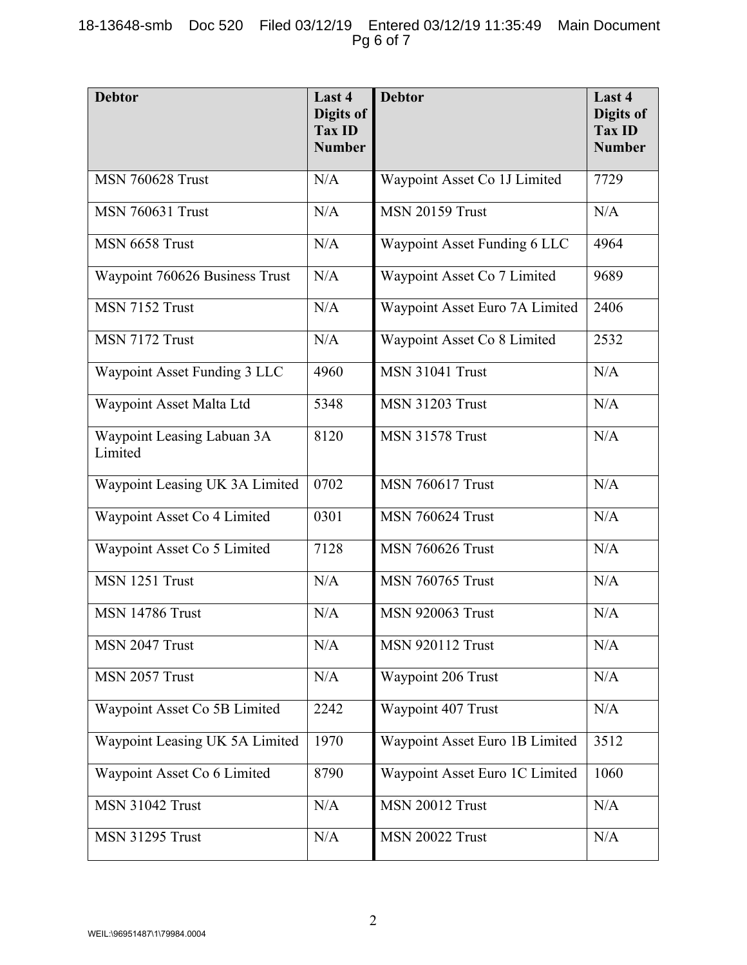| <b>Debtor</b>                         | Last 4<br>Digits of<br><b>Tax ID</b><br><b>Number</b> | <b>Debtor</b>                  | Last 4<br>Digits of<br><b>Tax ID</b><br><b>Number</b> |
|---------------------------------------|-------------------------------------------------------|--------------------------------|-------------------------------------------------------|
| <b>MSN 760628 Trust</b>               | N/A                                                   | Waypoint Asset Co 1J Limited   | 7729                                                  |
| <b>MSN 760631 Trust</b>               | N/A                                                   | <b>MSN 20159 Trust</b>         | N/A                                                   |
| MSN 6658 Trust                        | N/A                                                   | Waypoint Asset Funding 6 LLC   | 4964                                                  |
| Waypoint 760626 Business Trust        | N/A                                                   | Waypoint Asset Co 7 Limited    | 9689                                                  |
| MSN 7152 Trust                        | N/A                                                   | Waypoint Asset Euro 7A Limited | 2406                                                  |
| MSN 7172 Trust                        | N/A                                                   | Waypoint Asset Co 8 Limited    | 2532                                                  |
| Waypoint Asset Funding 3 LLC          | 4960                                                  | <b>MSN 31041 Trust</b>         | N/A                                                   |
| Waypoint Asset Malta Ltd              | 5348                                                  | <b>MSN 31203 Trust</b>         | N/A                                                   |
| Waypoint Leasing Labuan 3A<br>Limited | 8120                                                  | <b>MSN 31578 Trust</b>         | N/A                                                   |
| Waypoint Leasing UK 3A Limited        | 0702                                                  | <b>MSN 760617 Trust</b>        | N/A                                                   |
| Waypoint Asset Co 4 Limited           | 0301                                                  | <b>MSN 760624 Trust</b>        | N/A                                                   |
| Waypoint Asset Co 5 Limited           | 7128                                                  | <b>MSN 760626 Trust</b>        | N/A                                                   |
| MSN 1251 Trust                        | N/A                                                   | <b>MSN 760765 Trust</b>        | N/A                                                   |
| <b>MSN 14786 Trust</b>                | N/A                                                   | <b>MSN 920063 Trust</b>        | N/A                                                   |
| MSN 2047 Trust                        | N/A                                                   | <b>MSN 920112 Trust</b>        | N/A                                                   |
| MSN 2057 Trust                        | N/A                                                   | Waypoint 206 Trust             | N/A                                                   |
| Waypoint Asset Co 5B Limited          | 2242                                                  | Waypoint 407 Trust             | N/A                                                   |
| Waypoint Leasing UK 5A Limited        | 1970                                                  | Waypoint Asset Euro 1B Limited | 3512                                                  |
| Waypoint Asset Co 6 Limited           | 8790                                                  | Waypoint Asset Euro 1C Limited | 1060                                                  |
| <b>MSN 31042 Trust</b>                | N/A                                                   | <b>MSN 20012 Trust</b>         | N/A                                                   |
| <b>MSN 31295 Trust</b>                | N/A                                                   | <b>MSN 20022 Trust</b>         | N/A                                                   |